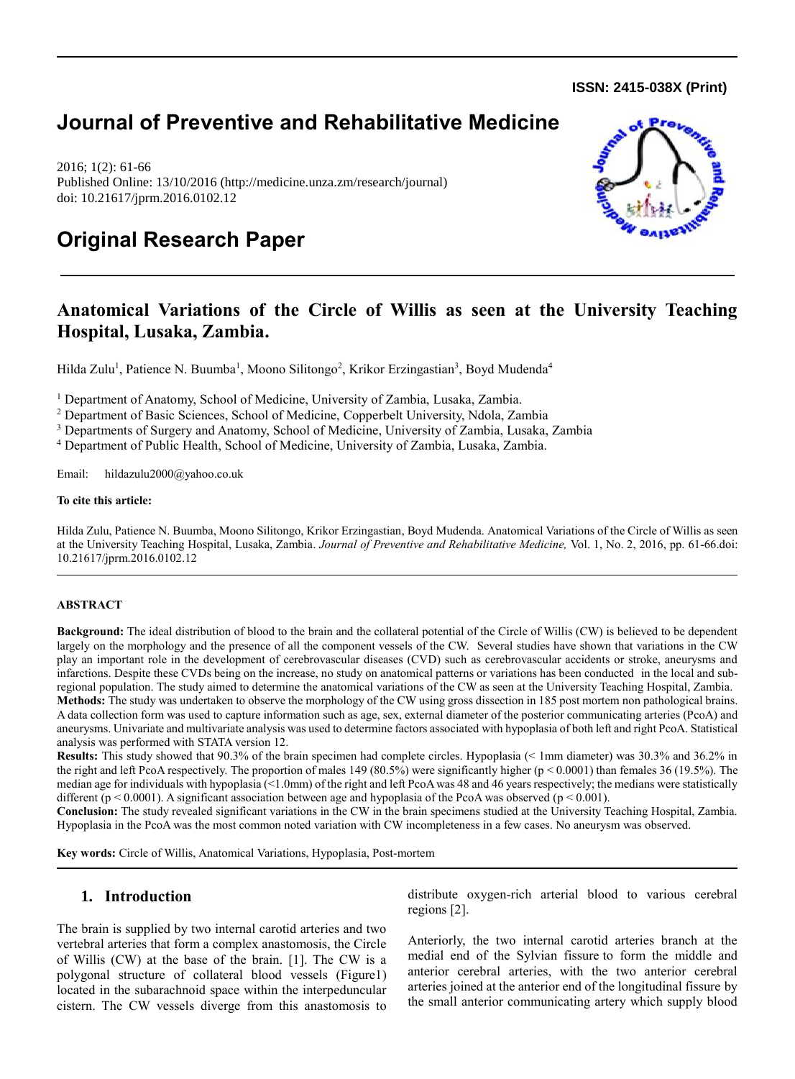**ISSN: 2415-038X (Print)** 

## **Journal of Preventive and Rehabilitative Medicine**

2016; 1(2): 61-66 Published Online: 13/10/2016 (http://medicine.unza.zm/research/journal) doi: 10.21617/jprm.2016.0102.12



# **Original Research Paper**

## **Anatomical Variations of the Circle of Willis as seen at the University Teaching Hospital, Lusaka, Zambia.**

Hilda Zulu<sup>1</sup>, Patience N. Buumba<sup>1</sup>, Moono Silitongo<sup>2</sup>, Krikor Erzingastian<sup>3</sup>, Boyd Mudenda<sup>4</sup>

<sup>1</sup> Department of Anatomy, School of Medicine, University of Zambia, Lusaka, Zambia.

<sup>2</sup> Department of Basic Sciences, School of Medicine, Copperbelt University, Ndola, Zambia

<sup>3</sup> Departments of Surgery and Anatomy, School of Medicine, University of Zambia, Lusaka, Zambia

<sup>4</sup> Department of Public Health, School of Medicine, University of Zambia, Lusaka, Zambia.

Email: hildazulu2000@yahoo.co.uk

#### **To cite this article:**

Hilda Zulu, Patience N. Buumba, Moono Silitongo, Krikor Erzingastian, Boyd Mudenda. Anatomical Variations of the Circle of Willis as seen at the University Teaching Hospital, Lusaka, Zambia. *Journal of Preventive and Rehabilitative Medicine,* Vol. 1, No. 2, 2016, pp. 61-66.doi: 10.21617/jprm.2016.0102.12

#### **ABSTRACT**

**Background:** The ideal distribution of blood to the brain and the collateral potential of the Circle of Willis (CW) is believed to be dependent largely on the morphology and the presence of all the component vessels of the CW. Several studies have shown that variations in the CW play an important role in the development of cerebrovascular diseases (CVD) such as cerebrovascular accidents or stroke, aneurysms and infarctions. Despite these CVDs being on the increase, no study on anatomical patterns or variations has been conducted in the local and subregional population. The study aimed to determine the anatomical variations of the CW as seen at the University Teaching Hospital, Zambia.

**Methods:** The study was undertaken to observe the morphology of the CW using gross dissection in 185 post mortem non pathological brains. A data collection form was used to capture information such as age, sex, external diameter of the posterior communicating arteries (PcoA) and aneurysms. Univariate and multivariate analysis was used to determine factors associated with hypoplasia of both left and right PcoA. Statistical analysis was performed with STATA version 12.

**Results:** This study showed that 90.3% of the brain specimen had complete circles. Hypoplasia (< 1mm diameter) was 30.3% and 36.2% in the right and left PcoA respectively. The proportion of males 149 (80.5%) were significantly higher ( $p < 0.0001$ ) than females 36 (19.5%). The median age for individuals with hypoplasia (<1.0mm) of the right and left PcoA was 48 and 46 years respectively; the medians were statistically different ( $p \le 0.0001$ ). A significant association between age and hypoplasia of the PcoA was observed ( $p \le 0.001$ ).

**Conclusion:** The study revealed significant variations in the CW in the brain specimens studied at the University Teaching Hospital, Zambia. Hypoplasia in the PcoA was the most common noted variation with CW incompleteness in a few cases. No aneurysm was observed.

**Key words:** Circle of Willis, Anatomical Variations, Hypoplasia, Post-mortem

## **1. Introduction**

The brain is supplied by two internal carotid arteries and two vertebral arteries that form a complex anastomosis, the Circle of Willis (CW) at the base of the brain. [1]. The CW is a polygonal structure of collateral blood vessels (Figure1) located in the subarachnoid space within the interpeduncular cistern. The CW vessels diverge from this anastomosis to distribute oxygen-rich arterial blood to various cerebral regions [2].

Anteriorly, the two internal carotid arteries branch at the medial end of the Sylvian fissure to form the middle and anterior cerebral arteries, with the two anterior cerebral arteries joined at the anterior end of the longitudinal fissure by the small anterior communicating artery which supply blood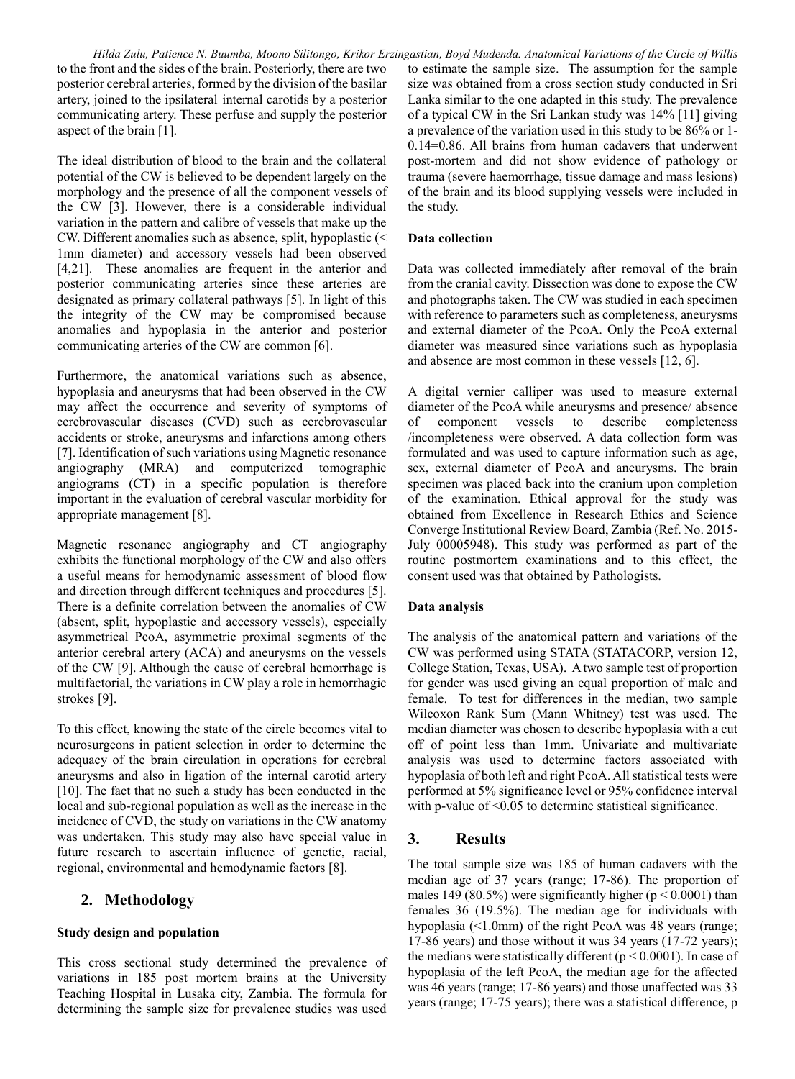to the front and the sides of the brain. Posteriorly, there are two posterior cerebral arteries, formed by the division of the basilar artery, joined to the ipsilateral internal carotids by a posterior communicating artery. These perfuse and supply the posterior aspect of the brain [1].

The ideal distribution of blood to the brain and the collateral potential of the CW is believed to be dependent largely on the morphology and the presence of all the component vessels of the CW [3]. However, there is a considerable individual variation in the pattern and calibre of vessels that make up the CW. Different anomalies such as absence, split, hypoplastic (< 1mm diameter) and accessory vessels had been observed [4,21]. These anomalies are frequent in the anterior and posterior communicating arteries since these arteries are designated as primary collateral pathways [5]. In light of this the integrity of the CW may be compromised because anomalies and hypoplasia in the anterior and posterior communicating arteries of the CW are common [6].

Furthermore, the anatomical variations such as absence, hypoplasia and aneurysms that had been observed in the CW may affect the occurrence and severity of symptoms of cerebrovascular diseases (CVD) such as cerebrovascular accidents or stroke, aneurysms and infarctions among others [7]. Identification of such variations using Magnetic resonance angiography (MRA) and computerized tomographic angiograms (CT) in a specific population is therefore important in the evaluation of cerebral vascular morbidity for appropriate management [8].

Magnetic resonance angiography and CT angiography exhibits the functional morphology of the CW and also offers a useful means for hemodynamic assessment of blood flow and direction through different techniques and procedures [5]. There is a definite correlation between the anomalies of CW (absent, split, hypoplastic and accessory vessels), especially asymmetrical PcoA, asymmetric proximal segments of the anterior cerebral artery (ACA) and aneurysms on the vessels of the CW [9]. Although the cause of cerebral hemorrhage is multifactorial, the variations in CW play a role in hemorrhagic strokes [9].

To this effect, knowing the state of the circle becomes vital to neurosurgeons in patient selection in order to determine the adequacy of the brain circulation in operations for cerebral aneurysms and also in ligation of the internal carotid artery [10]. The fact that no such a study has been conducted in the local and sub-regional population as well as the increase in the incidence of CVD, the study on variations in the CW anatomy was undertaken. This study may also have special value in future research to ascertain influence of genetic, racial, regional, environmental and hemodynamic factors [8].

## **2. Methodology**

## **Study design and population**

This cross sectional study determined the prevalence of variations in 185 post mortem brains at the University Teaching Hospital in Lusaka city, Zambia. The formula for determining the sample size for prevalence studies was used

*Hilda Zulu, Patience N. Buumba, Moono Silitongo, Krikor Erzingastian, Boyd Mudenda. Anatomical Variations of the Circle of Willis* to estimate the sample size. The assumption for the sample size was obtained from a cross section study conducted in Sri Lanka similar to the one adapted in this study. The prevalence of a typical CW in the Sri Lankan study was 14% [11] giving a prevalence of the variation used in this study to be 86% or 1- 0.14=0.86. All brains from human cadavers that underwent post-mortem and did not show evidence of pathology or trauma (severe haemorrhage, tissue damage and mass lesions) of the brain and its blood supplying vessels were included in the study.

## **Data collection**

Data was collected immediately after removal of the brain from the cranial cavity. Dissection was done to expose the CW and photographs taken. The CW was studied in each specimen with reference to parameters such as completeness, aneurysms and external diameter of the PcoA. Only the PcoA external diameter was measured since variations such as hypoplasia and absence are most common in these vessels [12, 6].

A digital vernier calliper was used to measure external diameter of the PcoA while aneurysms and presence/ absence of component vessels to describe completeness /incompleteness were observed. A data collection form was formulated and was used to capture information such as age, sex, external diameter of PcoA and aneurysms. The brain specimen was placed back into the cranium upon completion of the examination. Ethical approval for the study was obtained from Excellence in Research Ethics and Science Converge Institutional Review Board, Zambia (Ref. No. 2015- July 00005948). This study was performed as part of the routine postmortem examinations and to this effect, the consent used was that obtained by Pathologists.

## **Data analysis**

The analysis of the anatomical pattern and variations of the CW was performed using STATA (STATACORP, version 12, College Station, Texas, USA). A two sample test of proportion for gender was used giving an equal proportion of male and female. To test for differences in the median, two sample Wilcoxon Rank Sum (Mann Whitney) test was used. The median diameter was chosen to describe hypoplasia with a cut off of point less than 1mm. Univariate and multivariate analysis was used to determine factors associated with hypoplasia of both left and right PcoA. All statistical tests were performed at 5% significance level or 95% confidence interval with p-value of <0.05 to determine statistical significance.

## **3. Results**

The total sample size was 185 of human cadavers with the median age of 37 years (range; 17-86). The proportion of males 149 (80.5%) were significantly higher ( $p < 0.0001$ ) than females 36 (19.5%). The median age for individuals with hypoplasia (<1.0mm) of the right PcoA was 48 years (range; 17-86 years) and those without it was 34 years (17-72 years); the medians were statistically different ( $p < 0.0001$ ). In case of hypoplasia of the left PcoA, the median age for the affected was 46 years (range; 17-86 years) and those unaffected was 33 years (range; 17-75 years); there was a statistical difference, p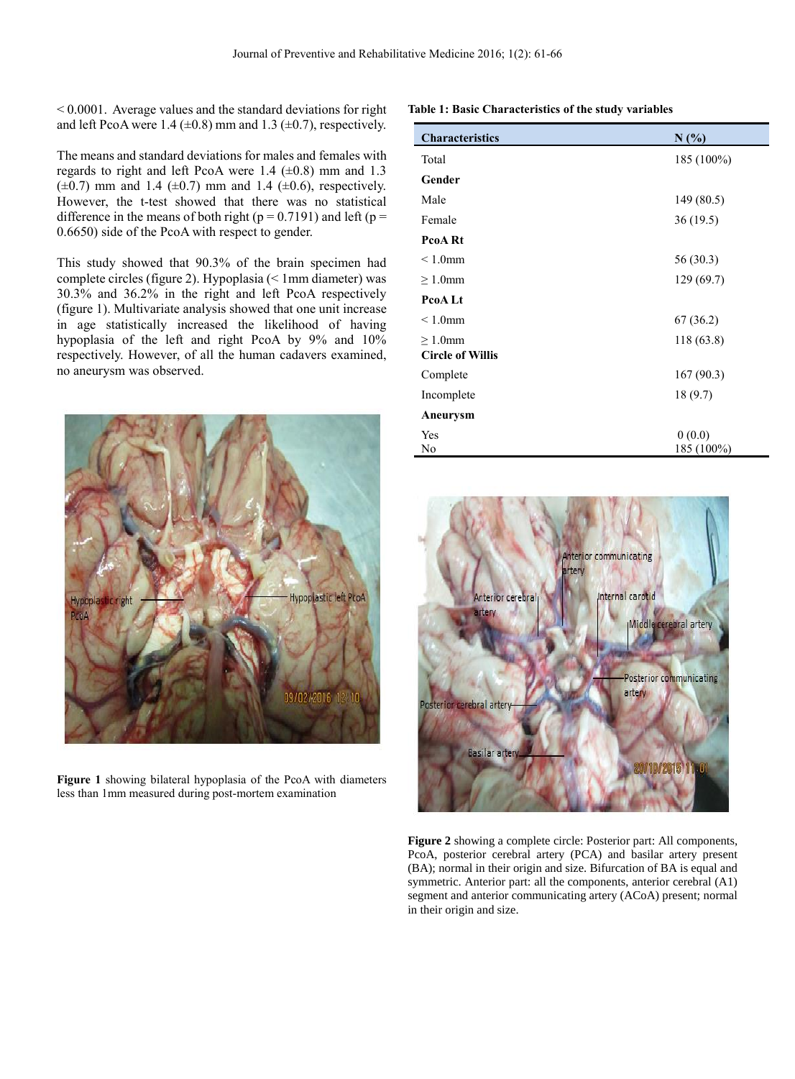$\leq 0.0001$ . Average values and the standard deviations for right and left PcoA were 1.4 ( $\pm$ 0.8) mm and 1.3 ( $\pm$ 0.7), respectively.

The means and standard deviations for males and females with regards to right and left PcoA were 1.4  $(\pm 0.8)$  mm and 1.3  $(\pm 0.7)$  mm and 1.4  $(\pm 0.7)$  mm and 1.4  $(\pm 0.6)$ , respectively. However, the t-test showed that there was no statistical difference in the means of both right ( $p = 0.7191$ ) and left ( $p =$ 0.6650) side of the PcoA with respect to gender.

This study showed that 90.3% of the brain specimen had complete circles (figure 2). Hypoplasia (< 1mm diameter) was 30.3% and 36.2% in the right and left PcoA respectively (figure 1). Multivariate analysis showed that one unit increase in age statistically increased the likelihood of having hypoplasia of the left and right PcoA by 9% and 10% respectively. However, of all the human cadavers examined, no aneurysm was observed.



**Figure 1** showing bilateral hypoplasia of the PcoA with diameters less than 1mm measured during post-mortem examination

**Table 1: Basic Characteristics of the study variables**

| <b>Characteristics</b>  | N(%)                 |
|-------------------------|----------------------|
| Total                   | 185 (100%)           |
| Gender                  |                      |
| Male                    | 149 (80.5)           |
| Female                  | 36(19.5)             |
| PcoA Rt                 |                      |
| $\leq 1.0$ mm           | 56 (30.3)            |
| $\geq 1.0$ mm           | 129 (69.7)           |
| PcoA Lt                 |                      |
| $\leq 1.0$ mm           | 67 (36.2)            |
| $\geq 1.0$ mm           | 118 (63.8)           |
| <b>Circle of Willis</b> |                      |
| Complete                | 167(90.3)            |
| Incomplete              | 18 (9.7)             |
| Aneurysm                |                      |
| Yes<br>No               | 0(0.0)<br>185 (100%) |



**Figure 2** showing a complete circle: Posterior part: All components, PcoA, posterior cerebral artery (PCA) and basilar artery present (BA); normal in their origin and size. Bifurcation of BA is equal and symmetric. Anterior part: all the components, anterior cerebral (A1) segment and anterior communicating artery (ACoA) present; normal in their origin and size.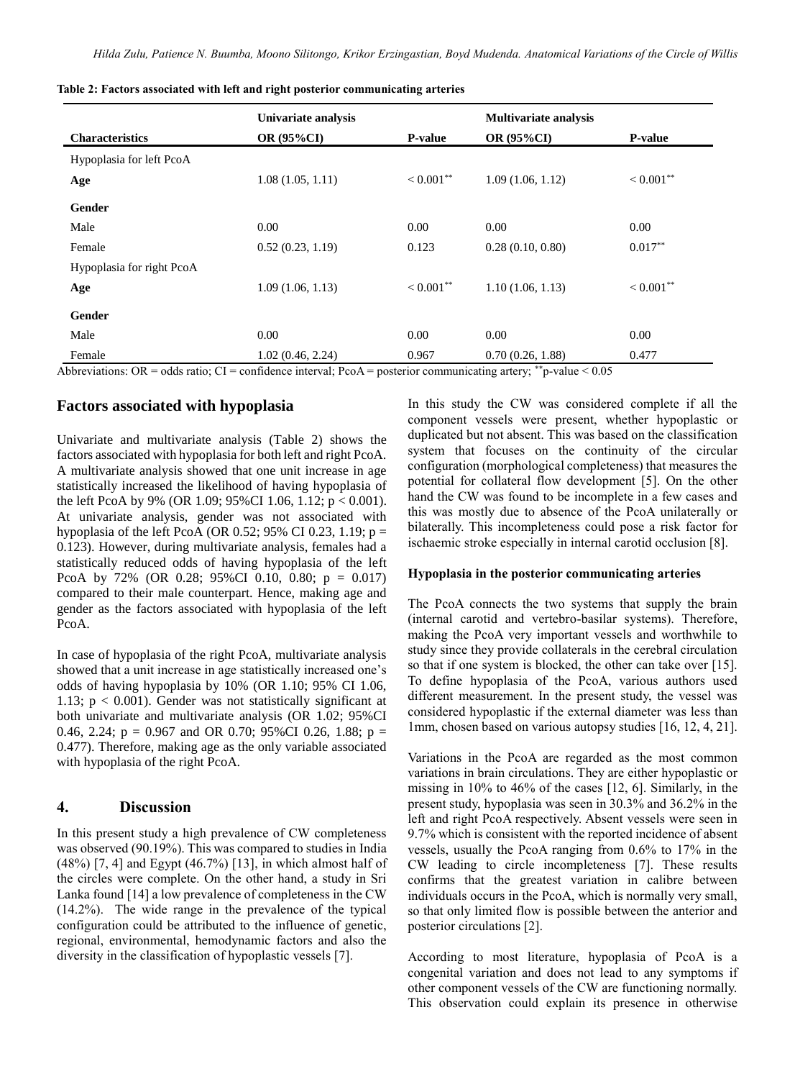|                           | Univariate analysis |                | <b>Multivariate analysis</b> |                |
|---------------------------|---------------------|----------------|------------------------------|----------------|
| <b>Characteristics</b>    | <b>OR (95%CI)</b>   | <b>P-value</b> | <b>OR (95%CI)</b>            | <b>P-value</b> |
| Hypoplasia for left PcoA  |                     |                |                              |                |
| Age                       | 1.08(1.05, 1.11)    | $< 0.001$ **   | 1.09(1.06, 1.12)             | $< 0.001$ **   |
| Gender                    |                     |                |                              |                |
| Male                      | 0.00                | 0.00           | 0.00                         | 0.00           |
| Female                    | 0.52(0.23, 1.19)    | 0.123          | 0.28(0.10, 0.80)             | $0.017**$      |
| Hypoplasia for right PcoA |                     |                |                              |                |
| Age                       | 1.09(1.06, 1.13)    | $< 0.001$ **   | 1.10(1.06, 1.13)             | $< 0.001$ **   |
| Gender                    |                     |                |                              |                |
| Male                      | 0.00                | 0.00           | 0.00                         | 0.00           |
| Female                    | 1.02(0.46, 2.24)    | 0.967          | 0.70(0.26, 1.88)             | 0.477          |

|  |  |  | Table 2: Factors associated with left and right posterior communicating arteries |  |
|--|--|--|----------------------------------------------------------------------------------|--|
|  |  |  |                                                                                  |  |

Abbreviations: OR = odds ratio; CI = confidence interval; PcoA = posterior communicating artery;  $\dot{p}$ -value < 0.05

## **Factors associated with hypoplasia**

Univariate and multivariate analysis (Table 2) shows the factors associated with hypoplasia for both left and right PcoA. A multivariate analysis showed that one unit increase in age statistically increased the likelihood of having hypoplasia of the left PcoA by 9% (OR 1.09; 95%CI 1.06, 1.12;  $p < 0.001$ ). At univariate analysis, gender was not associated with hypoplasia of the left PcoA (OR 0.52; 95% CI 0.23, 1.19;  $p =$ 0.123). However, during multivariate analysis, females had a statistically reduced odds of having hypoplasia of the left PcoA by 72% (OR 0.28; 95%CI 0.10, 0.80;  $p = 0.017$ ) compared to their male counterpart. Hence, making age and gender as the factors associated with hypoplasia of the left PcoA.

In case of hypoplasia of the right PcoA, multivariate analysis showed that a unit increase in age statistically increased one's odds of having hypoplasia by 10% (OR 1.10; 95% CI 1.06, 1.13;  $p < 0.001$ ). Gender was not statistically significant at both univariate and multivariate analysis (OR 1.02; 95%CI 0.46, 2.24;  $p = 0.967$  and OR 0.70; 95%CI 0.26, 1.88;  $p =$ 0.477). Therefore, making age as the only variable associated with hypoplasia of the right PcoA.

## **4. Discussion**

In this present study a high prevalence of CW completeness was observed (90.19%). This was compared to studies in India (48%) [7, 4] and Egypt (46.7%) [13], in which almost half of the circles were complete. On the other hand, a study in Sri Lanka found [14] a low prevalence of completeness in the CW (14.2%). The wide range in the prevalence of the typical configuration could be attributed to the influence of genetic, regional, environmental, hemodynamic factors and also the diversity in the classification of hypoplastic vessels [7].

In this study the CW was considered complete if all the component vessels were present, whether hypoplastic or duplicated but not absent. This was based on the classification system that focuses on the continuity of the circular configuration (morphological completeness) that measures the potential for collateral flow development [5]. On the other hand the CW was found to be incomplete in a few cases and this was mostly due to absence of the PcoA unilaterally or bilaterally. This incompleteness could pose a risk factor for ischaemic stroke especially in internal carotid occlusion [8].

## **Hypoplasia in the posterior communicating arteries**

The PcoA connects the two systems that supply the brain (internal carotid and vertebro-basilar systems). Therefore, making the PcoA very important vessels and worthwhile to study since they provide collaterals in the cerebral circulation so that if one system is blocked, the other can take over [15]. To define hypoplasia of the PcoA, various authors used different measurement. In the present study, the vessel was considered hypoplastic if the external diameter was less than 1mm, chosen based on various autopsy studies [16, 12, 4, 21].

Variations in the PcoA are regarded as the most common variations in brain circulations. They are either hypoplastic or missing in 10% to 46% of the cases [12, 6]. Similarly, in the present study, hypoplasia was seen in 30.3% and 36.2% in the left and right PcoA respectively. Absent vessels were seen in 9.7% which is consistent with the reported incidence of absent vessels, usually the PcoA ranging from 0.6% to 17% in the CW leading to circle incompleteness [7]. These results confirms that the greatest variation in calibre between individuals occurs in the PcoA, which is normally very small, so that only limited flow is possible between the anterior and posterior circulations [2].

According to most literature, hypoplasia of PcoA is a congenital variation and does not lead to any symptoms if other component vessels of the CW are functioning normally. This observation could explain its presence in otherwise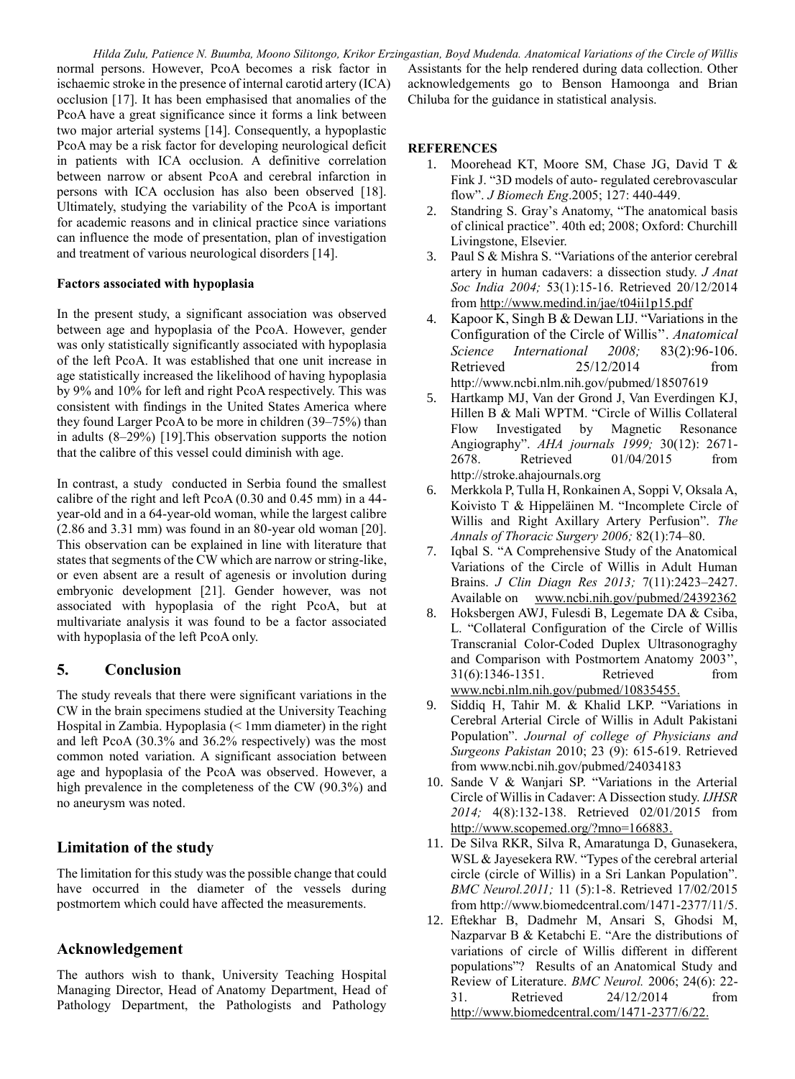normal persons. However, PcoA becomes a risk factor in ischaemic stroke in the presence of internal carotid artery (ICA) occlusion [17]. It has been emphasised that anomalies of the PcoA have a great significance since it forms a link between two major arterial systems [14]. Consequently, a hypoplastic PcoA may be a risk factor for developing neurological deficit in patients with ICA occlusion. A definitive correlation between narrow or absent PcoA and cerebral infarction in persons with ICA occlusion has also been observed [18]. Ultimately, studying the variability of the PcoA is important for academic reasons and in clinical practice since variations can influence the mode of presentation, plan of investigation and treatment of various neurological disorders [14].

#### **Factors associated with hypoplasia**

In the present study, a significant association was observed between age and hypoplasia of the PcoA. However, gender was only statistically significantly associated with hypoplasia of the left PcoA. It was established that one unit increase in age statistically increased the likelihood of having hypoplasia by 9% and 10% for left and right PcoA respectively. This was consistent with findings in the United States America where they found Larger PcoA to be more in children (39–75%) than in adults (8–29%) [19].This observation supports the notion that the calibre of this vessel could diminish with age.

In contrast, a study conducted in Serbia found the smallest calibre of the right and left PcoA (0.30 and 0.45 mm) in a 44 year-old and in a 64-year-old woman, while the largest calibre (2.86 and 3.31 mm) was found in an 80-year old woman [20]. This observation can be explained in line with literature that states that segments of the CW which are narrow or string-like, or even absent are a result of agenesis or involution during embryonic development [21]. Gender however, was not associated with hypoplasia of the right PcoA, but at multivariate analysis it was found to be a factor associated with hypoplasia of the left PcoA only.

## **5. Conclusion**

The study reveals that there were significant variations in the CW in the brain specimens studied at the University Teaching Hospital in Zambia. Hypoplasia (< 1mm diameter) in the right and left PcoA (30.3% and 36.2% respectively) was the most common noted variation. A significant association between age and hypoplasia of the PcoA was observed. However, a high prevalence in the completeness of the CW (90.3%) and no aneurysm was noted.

## **Limitation of the study**

The limitation for this study was the possible change that could have occurred in the diameter of the vessels during postmortem which could have affected the measurements.

## **Acknowledgement**

The authors wish to thank, University Teaching Hospital Managing Director, Head of Anatomy Department, Head of Pathology Department, the Pathologists and Pathology

*Hilda Zulu, Patience N. Buumba, Moono Silitongo, Krikor Erzingastian, Boyd Mudenda. Anatomical Variations of the Circle of Willis* Assistants for the help rendered during data collection. Other acknowledgements go to Benson Hamoonga and Brian Chiluba for the guidance in statistical analysis.

#### **REFERENCES**

- 1. Moorehead KT, Moore SM, Chase JG, David T & Fink J. "3D models of auto- regulated cerebrovascular flow". *J Biomech Eng*.2005; 127: 440-449.
- 2. Standring S. Gray's Anatomy, "The anatomical basis of clinical practice". 40th ed; 2008; Oxford: Churchill Livingstone, Elsevier.
- 3. Paul S & Mishra S. "Variations of the anterior cerebral artery in human cadavers: a dissection study. *J Anat Soc India 2004;* 53(1):15-16. Retrieved 20/12/2014 from http://www.medind.in/jae/t04ii1p15.pdf
- 4. Kapoor K, Singh B & Dewan LIJ. "Variations in the Configuration of the Circle of Willis''. *Anatomical Science International 2008;* 83(2):96-106. Retrieved 25/12/2014 from <http://www.ncbi.nlm.nih.gov/pubmed/18507619>
- 5. Hartkamp MJ, Van der Grond J, Van Everdingen KJ, Hillen B & Mali WPTM. "Circle of Willis Collateral Flow Investigated by Magnetic Resonance Angiography". *AHA journals 1999;* 30(12): 2671- 2678. Retrieved 01/04/2015 from [http://stroke.ahajournals.org](http://stroke.ahajournals.org/)
- 6. Merkkola P, Tulla H, Ronkainen A, Soppi V, Oksala A, Koivisto T & Hippeläinen M. "Incomplete Circle of Willis and Right Axillary Artery Perfusion". *The Annals of Thoracic Surgery 2006;* 82(1):74–80.
- 7. Iqbal S. "A Comprehensive Study of the Anatomical Variations of the Circle of Willis in Adult Human Brains. *J Clin Diagn Res 2013;* 7(11):2423–2427. Available on [www.ncbi.nih.gov/pubmed/24392362](http://www.ncbi.nih.gov/pubmed/24392362)
- 8. Hoksbergen AWJ, Fulesdi B, Legemate DA & Csiba, L. "Collateral Configuration of the Circle of Willis Transcranial Color-Coded Duplex Ultrasonograghy and Comparison with Postmortem Anatomy 2003'', 31(6):1346-1351. Retrieved from www.ncbi.nlm.nih.gov/pubmed/10835455.
- 9. Siddiq H, Tahir M. & Khalid LKP. "Variations in Cerebral Arterial Circle of Willis in Adult Pakistani Population". *Journal of college of Physicians and Surgeons Pakistan* 2010; 23 (9): 615-619. Retrieved fro[m www.ncbi.nih.gov/pubmed/24034183](http://www.ncbi.nih.gov/pubmed/24034183)
- 10. Sande V & Wanjari SP. "Variations in the Arterial Circle of Willis in Cadaver: A Dissection study. *IJHSR 2014;* 4(8):132-138. Retrieved 02/01/2015 from http://www.scopemed.org/?mno=166883.
- 11. De Silva RKR, Silva R, Amaratunga D, Gunasekera, WSL & Jayesekera RW. "Types of the cerebral arterial circle (circle of Willis) in a Sri Lankan Population". *BMC Neurol.2011;* 11 (5):1-8. Retrieved 17/02/2015 fro[m http://www.biomedcentral.com/1471-2377/11/5.](http://www.biomedcentral.com/1471-2377/11/5)
- 12. Eftekhar B, Dadmehr M, Ansari S, Ghodsi M, Nazparvar B & Ketabchi E. "Are the distributions of variations of circle of Willis different in different populations"? Results of an Anatomical Study and Review of Literature. *BMC Neurol.* 2006; 24(6): 22- 31. Retrieved 24/12/2014 from [http://www.biomedcentral.com/1471-2377/6/22.](http://www.biomedcentral.com/1471-2377/6/22)